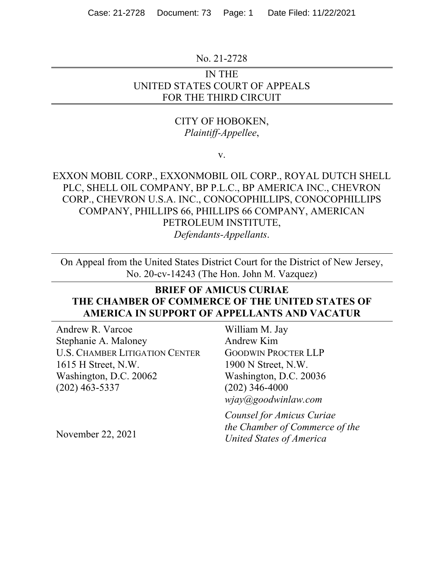### No. 21-2728

# IN THE UNITED STATES COURT OF APPEALS FOR THE THIRD CIRCUIT

# CITY OF HOBOKEN, *Plaintiff-Appellee*,

v.

EXXON MOBIL CORP., EXXONMOBIL OIL CORP., ROYAL DUTCH SHELL PLC, SHELL OIL COMPANY, BP P.L.C., BP AMERICA INC., CHEVRON CORP., CHEVRON U.S.A. INC., CONOCOPHILLIPS, CONOCOPHILLIPS COMPANY, PHILLIPS 66, PHILLIPS 66 COMPANY, AMERICAN PETROLEUM INSTITUTE, *Defendants-Appellants*.

On Appeal from the United States District Court for the District of New Jersey, No. 20-cv-14243 (The Hon. John M. Vazquez)

# **BRIEF OF AMICUS CURIAE THE CHAMBER OF COMMERCE OF THE UNITED STATES OF AMERICA IN SUPPORT OF APPELLANTS AND VACATUR**

Andrew R. Varcoe Stephanie A. Maloney U.S. CHAMBER LITIGATION CENTER 1615 H Street, N.W. Washington, D.C. 20062 (202) 463-5337

William M. Jay Andrew Kim GOODWIN PROCTER LLP 1900 N Street, N.W. Washington, D.C. 20036 (202) 346-4000 *wjay@goodwinlaw.com* 

*Counsel for Amicus Curiae the Chamber of Commerce of the United States of America* 

November 22, 2021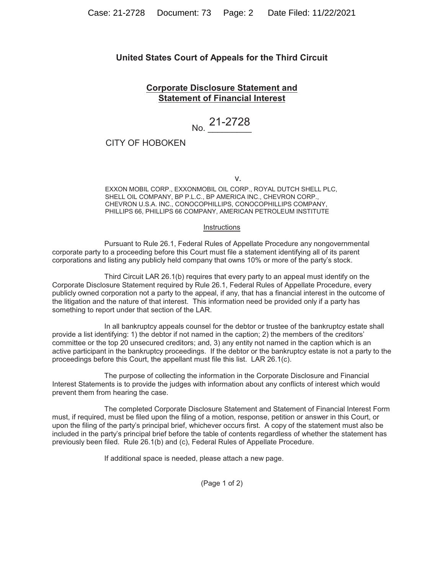### **United States Court of Appeals for the Third Circuit**

### **Corporate Disclosure Statement and Statement of Financial Interest**

# No. 21-2728

### CITY OF HOBOKEN

v. *v.* v. *v.* v. *v.* v. *v.* v. *v.* v. *v.* v. *v.* v. *v.* v. *v.* v. *v.* v. *v.* v. *v.* v. *v.* v. *v.* v. *v.* v. *v.* v. *v.* v. *v.* v. *v.* v. *v.* v. *v.* v. *v.* v. *v.* v. *v.* v. *v.* v. *v.* v. *v.* v. *v.* 

EXXON MOBIL CORP., EXXONMOBIL OIL CORP., ROYAL DUTCH SHELL PLC, SHELL OIL COMPANY, BP P.L.C., BP AMERICA INC., CHEVRON CORP., CHEVRON U.S.A. INC., CONOCOPHILLIPS, CONOCOPHILLIPS COMPANY, PHILLIPS 66, PHILLIPS 66 COMPANY, AMERICAN PETROLEUM INSTITUTE

#### Instructions

Pursuant to Rule 26.1, Federal Rules of Appellate Procedure any nongovernmental corporate party to a proceeding before this Court must file a statement identifying all of its parent corporations and listing any publicly held company that owns 10% or more of the party's stock.

Third Circuit LAR 26.1(b) requires that every party to an appeal must identify on the Corporate Disclosure Statement required by Rule 26.1, Federal Rules of Appellate Procedure, every publicly owned corporation not a party to the appeal, if any, that has a financial interest in the outcome of the litigation and the nature of that interest. This information need be provided only if a party has something to report under that section of the LAR.

In all bankruptcy appeals counsel for the debtor or trustee of the bankruptcy estate shall provide a list identifying: 1) the debtor if not named in the caption; 2) the members of the creditors' committee or the top 20 unsecured creditors; and, 3) any entity not named in the caption which is an active participant in the bankruptcy proceedings. If the debtor or the bankruptcy estate is not a party to the proceedings before this Court, the appellant must file this list. LAR 26.1(c).

The purpose of collecting the information in the Corporate Disclosure and Financial Interest Statements is to provide the judges with information about any conflicts of interest which would prevent them from hearing the case.

The completed Corporate Disclosure Statement and Statement of Financial Interest Form must, if required, must be filed upon the filing of a motion, response, petition or answer in this Court, or upon the filing of the party's principal brief, whichever occurs first. A copy of the statement must also be included in the party's principal brief before the table of contents regardless of whether the statement has previously been filed. Rule 26.1(b) and (c), Federal Rules of Appellate Procedure.

If additional space is needed, please attach a new page.

(Page 1 of 2)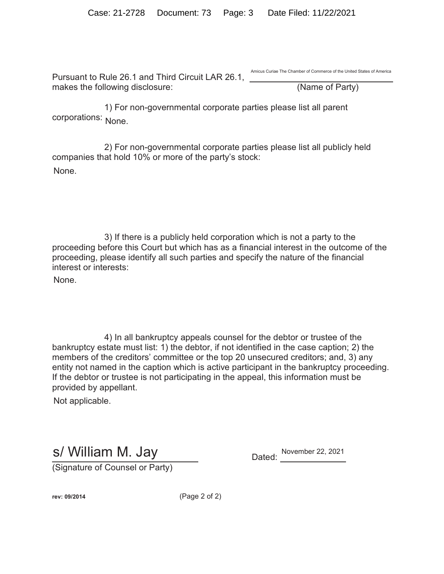Pursuant to Rule 26.1 and Third Circuit LAR 26.1, makes the following disclosure: (Name of Party) Amicus Curiae The Chamber of Commerce of the United States of America

1) For non-governmental corporate parties please list all parent corporations: None.

2) For non-governmental corporate parties please list all publicly held companies that hold 10% or more of the party's stock: None.

3) If there is a publicly held corporation which is not a party to the proceeding before this Court but which has as a financial interest in the outcome of the proceeding, please identify all such parties and specify the nature of the financial interest or interests:

None.

4) In all bankruptcy appeals counsel for the debtor or trustee of the bankruptcy estate must list: 1) the debtor, if not identified in the case caption; 2) the members of the creditors' committee or the top 20 unsecured creditors; and, 3) any entity not named in the caption which is active participant in the bankruptcy proceeding. If the debtor or trustee is not participating in the appeal, this information must be provided by appellant.

Not applicable.

s/ William M. Jay Dated: November 22, 2021

(Signature of Counsel or Party)

**rev: 09/2014** (Page 2 of 2)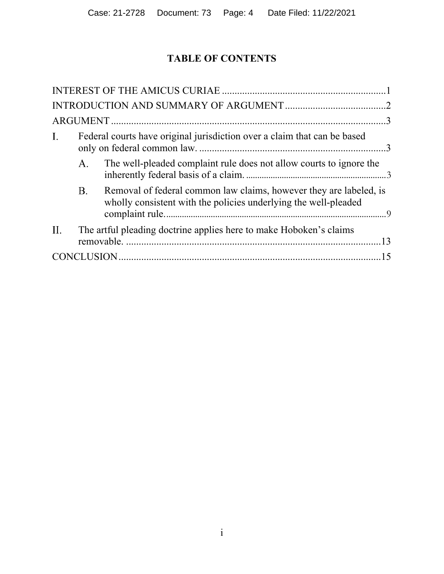# **TABLE OF CONTENTS**

| $\mathbf{I}$ . | Federal courts have original jurisdiction over a claim that can be based |                                                                                                                                       |  |  |
|----------------|--------------------------------------------------------------------------|---------------------------------------------------------------------------------------------------------------------------------------|--|--|
|                | A.                                                                       | The well-pleaded complaint rule does not allow courts to ignore the                                                                   |  |  |
|                | <b>B.</b>                                                                | Removal of federal common law claims, however they are labeled, is<br>wholly consistent with the policies underlying the well-pleaded |  |  |
| II.            |                                                                          | The artful pleading doctrine applies here to make Hoboken's claims                                                                    |  |  |
|                |                                                                          |                                                                                                                                       |  |  |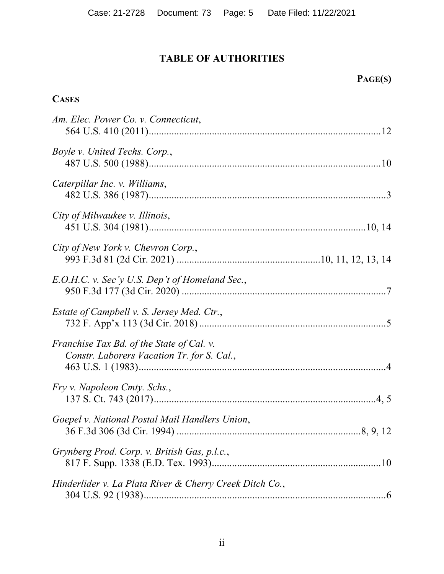# **TABLE OF AUTHORITIES**

# **PAGE(S)**

# **CASES**

| Am. Elec. Power Co. v. Connecticut,                                                            |
|------------------------------------------------------------------------------------------------|
| Boyle v. United Techs. Corp.,                                                                  |
| Caterpillar Inc. v. Williams,                                                                  |
| City of Milwaukee v. Illinois,                                                                 |
| City of New York v. Chevron Corp.,                                                             |
| E.O.H.C. v. Sec'y U.S. Dep't of Homeland Sec.,                                                 |
| <i>Estate of Campbell v. S. Jersey Med. Ctr.,</i>                                              |
| <i>Franchise Tax Bd. of the State of Cal. v.</i><br>Constr. Laborers Vacation Tr. for S. Cal., |
| Fry v. Napoleon Cmty. Schs.,                                                                   |
| Goepel v. National Postal Mail Handlers Union,                                                 |
| Grynberg Prod. Corp. v. British Gas, p.l.c.,                                                   |
| Hinderlider v. La Plata River & Cherry Creek Ditch Co.,                                        |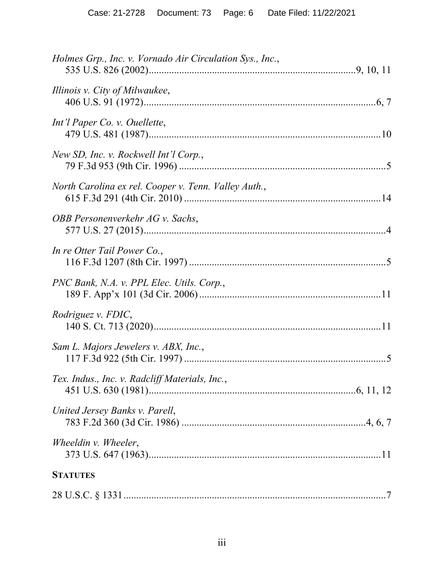| Holmes Grp., Inc. v. Vornado Air Circulation Sys., Inc., |
|----------------------------------------------------------|
| Illinois v. City of Milwaukee,                           |
| Int'l Paper Co. v. Ouellette,                            |
| New SD, Inc. v. Rockwell Int'l Corp.,                    |
| North Carolina ex rel. Cooper v. Tenn. Valley Auth.,     |
| OBB Personenverkehr AG v. Sachs,                         |
| In re Otter Tail Power Co.,                              |
| PNC Bank, N.A. v. PPL Elec. Utils. Corp.,                |
| Rodriguez v. FDIC,                                       |
| Sam L. Majors Jewelers v. ABX, Inc.,                     |
| Tex. Indus., Inc. v. Radcliff Materials, Inc.,           |
| United Jersey Banks v. Parell,                           |
| Wheeldin v. Wheeler,                                     |
| <b>STATUTES</b>                                          |
|                                                          |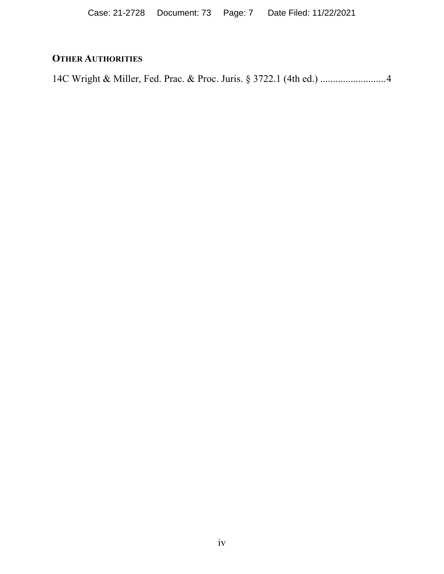# **OTHER AUTHORITIES**

14C Wright & Miller, Fed. Prac. & Proc. Juris. § 3722.1 (4th ed.) .......................... 4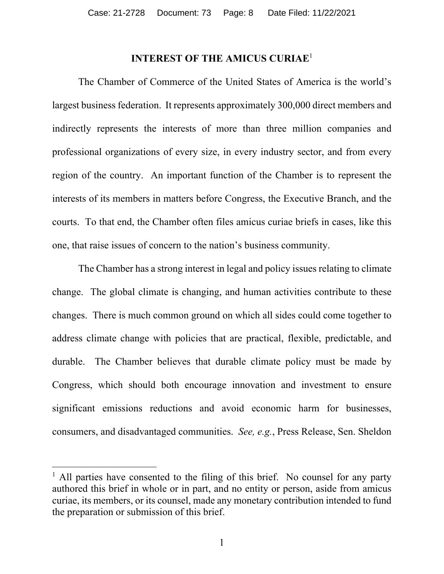# **INTEREST OF THE AMICUS CURIAE**<sup>1</sup>

The Chamber of Commerce of the United States of America is the world's largest business federation. It represents approximately 300,000 direct members and indirectly represents the interests of more than three million companies and professional organizations of every size, in every industry sector, and from every region of the country. An important function of the Chamber is to represent the interests of its members in matters before Congress, the Executive Branch, and the courts. To that end, the Chamber often files amicus curiae briefs in cases, like this one, that raise issues of concern to the nation's business community.

The Chamber has a strong interest in legal and policy issues relating to climate change. The global climate is changing, and human activities contribute to these changes. There is much common ground on which all sides could come together to address climate change with policies that are practical, flexible, predictable, and durable. The Chamber believes that durable climate policy must be made by Congress, which should both encourage innovation and investment to ensure significant emissions reductions and avoid economic harm for businesses, consumers, and disadvantaged communities. *See, e.g.*, Press Release, Sen. Sheldon

<sup>&</sup>lt;sup>1</sup> All parties have consented to the filing of this brief. No counsel for any party authored this brief in whole or in part, and no entity or person, aside from amicus curiae, its members, or its counsel, made any monetary contribution intended to fund the preparation or submission of this brief.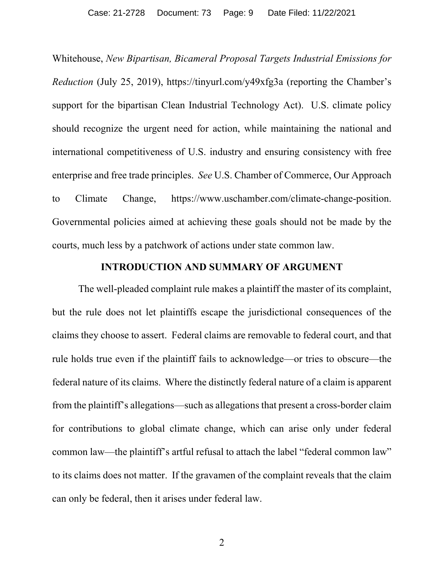Whitehouse, *New Bipartisan, Bicameral Proposal Targets Industrial Emissions for Reduction* (July 25, 2019), https://tinyurl.com/y49xfg3a (reporting the Chamber's support for the bipartisan Clean Industrial Technology Act). U.S. climate policy should recognize the urgent need for action, while maintaining the national and international competitiveness of U.S. industry and ensuring consistency with free enterprise and free trade principles. *See* U.S. Chamber of Commerce, Our Approach to Climate Change, https://www.uschamber.com/climate-change-position. Governmental policies aimed at achieving these goals should not be made by the courts, much less by a patchwork of actions under state common law.

### **INTRODUCTION AND SUMMARY OF ARGUMENT**

The well-pleaded complaint rule makes a plaintiff the master of its complaint, but the rule does not let plaintiffs escape the jurisdictional consequences of the claims they choose to assert. Federal claims are removable to federal court, and that rule holds true even if the plaintiff fails to acknowledge—or tries to obscure—the federal nature of its claims. Where the distinctly federal nature of a claim is apparent from the plaintiff's allegations—such as allegations that present a cross-border claim for contributions to global climate change, which can arise only under federal common law—the plaintiff's artful refusal to attach the label "federal common law" to its claims does not matter. If the gravamen of the complaint reveals that the claim can only be federal, then it arises under federal law.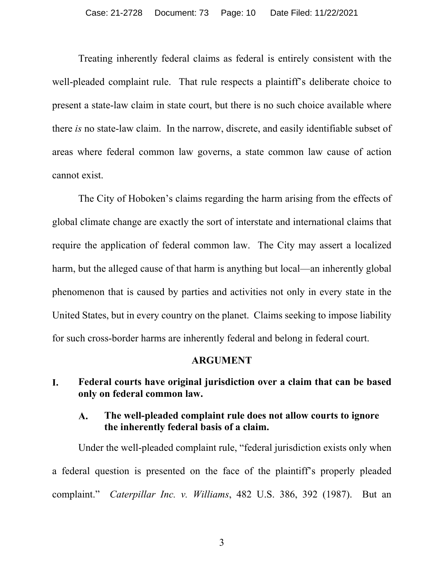Treating inherently federal claims as federal is entirely consistent with the well-pleaded complaint rule. That rule respects a plaintiff's deliberate choice to present a state-law claim in state court, but there is no such choice available where there *is* no state-law claim. In the narrow, discrete, and easily identifiable subset of areas where federal common law governs, a state common law cause of action cannot exist.

The City of Hoboken's claims regarding the harm arising from the effects of global climate change are exactly the sort of interstate and international claims that require the application of federal common law. The City may assert a localized harm, but the alleged cause of that harm is anything but local—an inherently global phenomenon that is caused by parties and activities not only in every state in the United States, but in every country on the planet. Claims seeking to impose liability for such cross-border harms are inherently federal and belong in federal court.

## **ARGUMENT**

#### I. **Federal courts have original jurisdiction over a claim that can be based only on federal common law.**

#### **The well-pleaded complaint rule does not allow courts to ignore**   $\mathbf{A}$ . **the inherently federal basis of a claim.**

Under the well-pleaded complaint rule, "federal jurisdiction exists only when a federal question is presented on the face of the plaintiff's properly pleaded complaint." *Caterpillar Inc. v. Williams*, 482 U.S. 386, 392 (1987). But an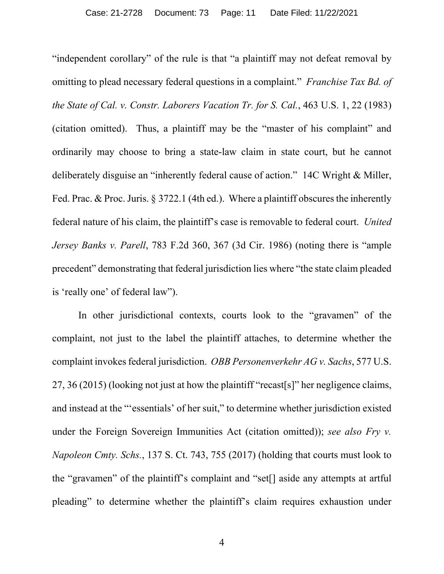"independent corollary" of the rule is that "a plaintiff may not defeat removal by omitting to plead necessary federal questions in a complaint." *Franchise Tax Bd. of the State of Cal. v. Constr. Laborers Vacation Tr. for S. Cal.*, 463 U.S. 1, 22 (1983) (citation omitted). Thus, a plaintiff may be the "master of his complaint" and ordinarily may choose to bring a state-law claim in state court, but he cannot deliberately disguise an "inherently federal cause of action." 14C Wright & Miller, Fed. Prac. & Proc. Juris. § 3722.1 (4th ed.). Where a plaintiff obscures the inherently federal nature of his claim, the plaintiff's case is removable to federal court. *United Jersey Banks v. Parell*, 783 F.2d 360, 367 (3d Cir. 1986) (noting there is "ample precedent" demonstrating that federal jurisdiction lies where "the state claim pleaded is 'really one' of federal law").

In other jurisdictional contexts, courts look to the "gravamen" of the complaint, not just to the label the plaintiff attaches, to determine whether the complaint invokes federal jurisdiction. *OBB Personenverkehr AG v. Sachs*, 577 U.S. 27, 36 (2015) (looking not just at how the plaintiff "recast[s]" her negligence claims, and instead at the "'essentials' of her suit," to determine whether jurisdiction existed under the Foreign Sovereign Immunities Act (citation omitted)); *see also Fry v. Napoleon Cmty. Schs.*, 137 S. Ct. 743, 755 (2017) (holding that courts must look to the "gravamen" of the plaintiff's complaint and "set[] aside any attempts at artful pleading" to determine whether the plaintiff's claim requires exhaustion under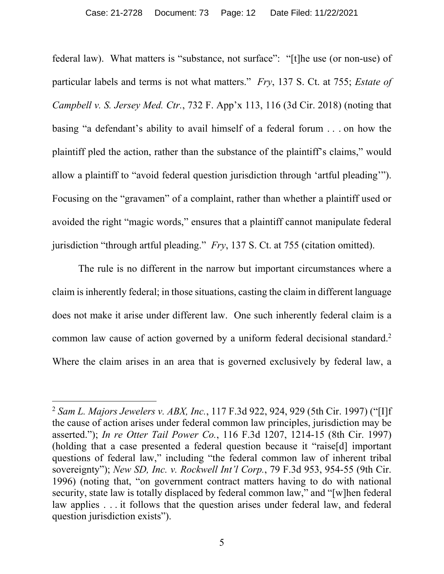federal law). What matters is "substance, not surface": "[t]he use (or non-use) of particular labels and terms is not what matters." *Fry*, 137 S. Ct. at 755; *Estate of Campbell v. S. Jersey Med. Ctr.*, 732 F. App'x 113, 116 (3d Cir. 2018) (noting that basing "a defendant's ability to avail himself of a federal forum . . . on how the plaintiff pled the action, rather than the substance of the plaintiff's claims," would allow a plaintiff to "avoid federal question jurisdiction through 'artful pleading'"). Focusing on the "gravamen" of a complaint, rather than whether a plaintiff used or avoided the right "magic words," ensures that a plaintiff cannot manipulate federal jurisdiction "through artful pleading." *Fry*, 137 S. Ct. at 755 (citation omitted).

The rule is no different in the narrow but important circumstances where a claim is inherently federal; in those situations, casting the claim in different language does not make it arise under different law. One such inherently federal claim is a common law cause of action governed by a uniform federal decisional standard.<sup>2</sup> Where the claim arises in an area that is governed exclusively by federal law, a

<sup>2</sup> *Sam L. Majors Jewelers v. ABX, Inc.*, 117 F.3d 922, 924, 929 (5th Cir. 1997) ("[I]f the cause of action arises under federal common law principles, jurisdiction may be asserted."); *In re Otter Tail Power Co.*, 116 F.3d 1207, 1214-15 (8th Cir. 1997) (holding that a case presented a federal question because it "raise[d] important questions of federal law," including "the federal common law of inherent tribal sovereignty"); *New SD, Inc. v. Rockwell Int'l Corp.*, 79 F.3d 953, 954-55 (9th Cir. 1996) (noting that, "on government contract matters having to do with national security, state law is totally displaced by federal common law," and "[w]hen federal law applies . . . it follows that the question arises under federal law, and federal question jurisdiction exists").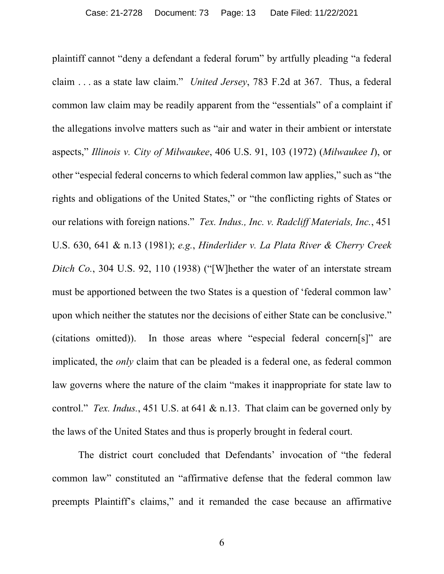plaintiff cannot "deny a defendant a federal forum" by artfully pleading "a federal claim . . . as a state law claim." *United Jersey*, 783 F.2d at 367. Thus, a federal common law claim may be readily apparent from the "essentials" of a complaint if the allegations involve matters such as "air and water in their ambient or interstate aspects," *Illinois v. City of Milwaukee*, 406 U.S. 91, 103 (1972) (*Milwaukee I*), or other "especial federal concerns to which federal common law applies," such as "the rights and obligations of the United States," or "the conflicting rights of States or our relations with foreign nations." *Tex. Indus., Inc. v. Radcliff Materials, Inc.*, 451 U.S. 630, 641 & n.13 (1981); *e.g.*, *Hinderlider v. La Plata River & Cherry Creek Ditch Co.*, 304 U.S. 92, 110 (1938) ("[W]hether the water of an interstate stream must be apportioned between the two States is a question of 'federal common law' upon which neither the statutes nor the decisions of either State can be conclusive." (citations omitted)). In those areas where "especial federal concern[s]" are implicated, the *only* claim that can be pleaded is a federal one, as federal common law governs where the nature of the claim "makes it inappropriate for state law to control." *Tex. Indus.*, 451 U.S. at 641 & n.13. That claim can be governed only by the laws of the United States and thus is properly brought in federal court.

The district court concluded that Defendants' invocation of "the federal common law" constituted an "affirmative defense that the federal common law preempts Plaintiff's claims," and it remanded the case because an affirmative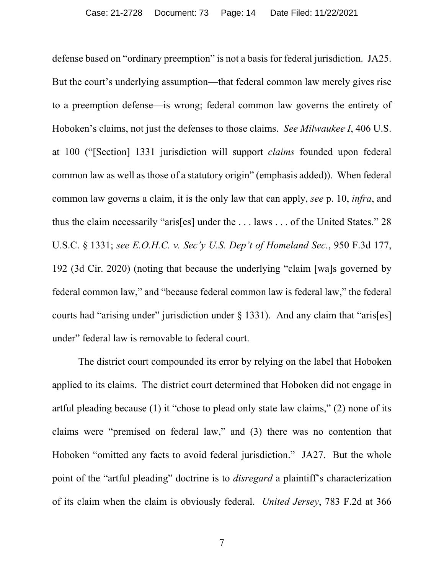defense based on "ordinary preemption" is not a basis for federal jurisdiction. JA25. But the court's underlying assumption—that federal common law merely gives rise to a preemption defense—is wrong; federal common law governs the entirety of Hoboken's claims, not just the defenses to those claims. *See Milwaukee I*, 406 U.S. at 100 ("[Section] 1331 jurisdiction will support *claims* founded upon federal common law as well as those of a statutory origin" (emphasis added)). When federal common law governs a claim, it is the only law that can apply, *see* p. 10, *infra*, and thus the claim necessarily "aris[es] under the . . . laws . . . of the United States." 28 U.S.C. § 1331; *see E.O.H.C. v. Sec'y U.S. Dep't of Homeland Sec.*, 950 F.3d 177, 192 (3d Cir. 2020) (noting that because the underlying "claim [wa]s governed by federal common law," and "because federal common law is federal law," the federal courts had "arising under" jurisdiction under  $\S$  1331). And any claim that "aris[es] under" federal law is removable to federal court.

The district court compounded its error by relying on the label that Hoboken applied to its claims. The district court determined that Hoboken did not engage in artful pleading because (1) it "chose to plead only state law claims," (2) none of its claims were "premised on federal law," and (3) there was no contention that Hoboken "omitted any facts to avoid federal jurisdiction." JA27. But the whole point of the "artful pleading" doctrine is to *disregard* a plaintiff's characterization of its claim when the claim is obviously federal. *United Jersey*, 783 F.2d at 366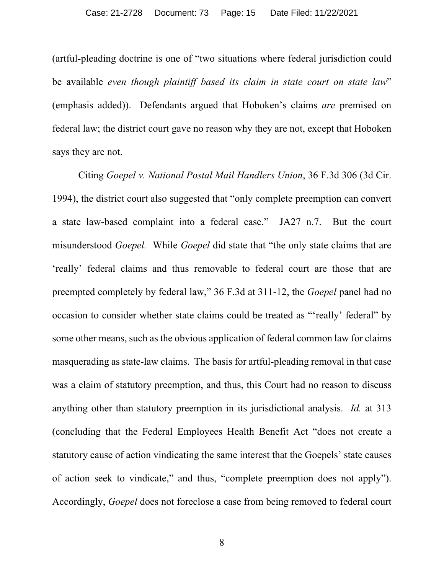(artful-pleading doctrine is one of "two situations where federal jurisdiction could be available *even though plaintiff based its claim in state court on state law*" (emphasis added)). Defendants argued that Hoboken's claims *are* premised on federal law; the district court gave no reason why they are not, except that Hoboken says they are not.

Citing *Goepel v. National Postal Mail Handlers Union*, 36 F.3d 306 (3d Cir. 1994), the district court also suggested that "only complete preemption can convert a state law-based complaint into a federal case." JA27 n.7. But the court misunderstood *Goepel.* While *Goepel* did state that "the only state claims that are 'really' federal claims and thus removable to federal court are those that are preempted completely by federal law," 36 F.3d at 311-12, the *Goepel* panel had no occasion to consider whether state claims could be treated as "'really' federal" by some other means, such as the obvious application of federal common law for claims masquerading as state-law claims. The basis for artful-pleading removal in that case was a claim of statutory preemption, and thus, this Court had no reason to discuss anything other than statutory preemption in its jurisdictional analysis. *Id.* at 313 (concluding that the Federal Employees Health Benefit Act "does not create a statutory cause of action vindicating the same interest that the Goepels' state causes of action seek to vindicate," and thus, "complete preemption does not apply"). Accordingly, *Goepel* does not foreclose a case from being removed to federal court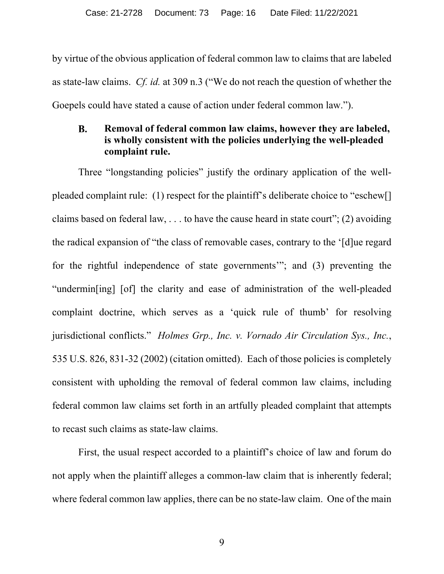by virtue of the obvious application of federal common law to claims that are labeled as state-law claims. *Cf. id.* at 309 n.3 ("We do not reach the question of whether the Goepels could have stated a cause of action under federal common law.").

#### **B. Removal of federal common law claims, however they are labeled, is wholly consistent with the policies underlying the well-pleaded complaint rule.**

Three "longstanding policies" justify the ordinary application of the wellpleaded complaint rule: (1) respect for the plaintiff's deliberate choice to "eschew[] claims based on federal law,  $\dots$  to have the cause heard in state court"; (2) avoiding the radical expansion of "the class of removable cases, contrary to the '[d]ue regard for the rightful independence of state governments'"; and (3) preventing the "undermin[ing] [of] the clarity and ease of administration of the well-pleaded complaint doctrine, which serves as a 'quick rule of thumb' for resolving jurisdictional conflicts." *Holmes Grp., Inc. v. Vornado Air Circulation Sys., Inc.*, 535 U.S. 826, 831-32 (2002) (citation omitted). Each of those policies is completely consistent with upholding the removal of federal common law claims, including federal common law claims set forth in an artfully pleaded complaint that attempts to recast such claims as state-law claims.

First, the usual respect accorded to a plaintiff's choice of law and forum do not apply when the plaintiff alleges a common-law claim that is inherently federal; where federal common law applies, there can be no state-law claim. One of the main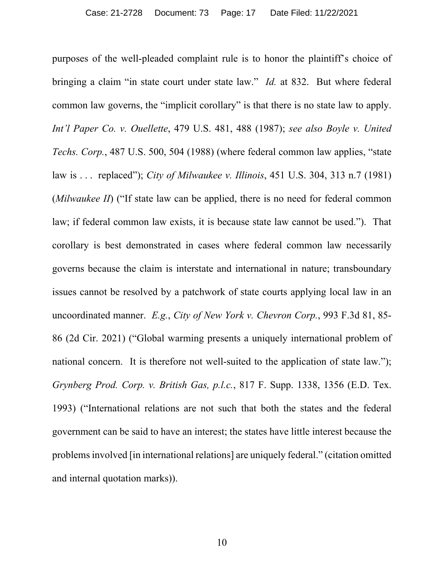purposes of the well-pleaded complaint rule is to honor the plaintiff's choice of bringing a claim "in state court under state law." *Id.* at 832. But where federal common law governs, the "implicit corollary" is that there is no state law to apply. *Int'l Paper Co. v. Ouellette*, 479 U.S. 481, 488 (1987); *see also Boyle v. United Techs. Corp.*, 487 U.S. 500, 504 (1988) (where federal common law applies, "state law is . . . replaced"); *City of Milwaukee v. Illinois*, 451 U.S. 304, 313 n.7 (1981) (*Milwaukee II*) ("If state law can be applied, there is no need for federal common law; if federal common law exists, it is because state law cannot be used."). That corollary is best demonstrated in cases where federal common law necessarily governs because the claim is interstate and international in nature; transboundary issues cannot be resolved by a patchwork of state courts applying local law in an uncoordinated manner. *E.g.*, *City of New York v. Chevron Corp.*, 993 F.3d 81, 85- 86 (2d Cir. 2021) ("Global warming presents a uniquely international problem of national concern. It is therefore not well-suited to the application of state law."); *Grynberg Prod. Corp. v. British Gas, p.l.c.*, 817 F. Supp. 1338, 1356 (E.D. Tex. 1993) ("International relations are not such that both the states and the federal government can be said to have an interest; the states have little interest because the problems involved [in international relations] are uniquely federal." (citation omitted and internal quotation marks)).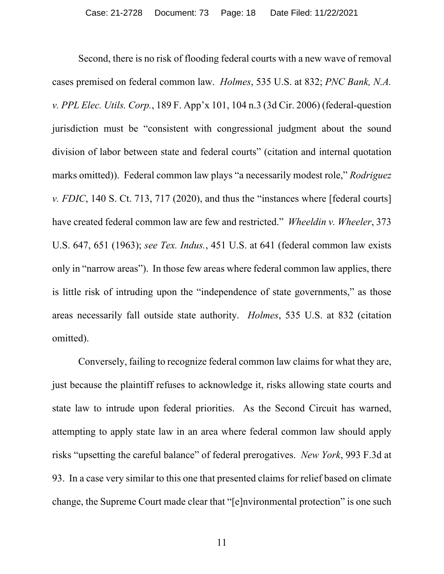Second, there is no risk of flooding federal courts with a new wave of removal cases premised on federal common law. *Holmes*, 535 U.S. at 832; *PNC Bank, N.A. v. PPL Elec. Utils. Corp.*, 189 F. App'x 101, 104 n.3 (3d Cir. 2006) (federal-question jurisdiction must be "consistent with congressional judgment about the sound division of labor between state and federal courts" (citation and internal quotation marks omitted)). Federal common law plays "a necessarily modest role," *Rodriguez v. FDIC*, 140 S. Ct. 713, 717 (2020), and thus the "instances where [federal courts] have created federal common law are few and restricted." *Wheeldin v. Wheeler*, 373 U.S. 647, 651 (1963); *see Tex. Indus.*, 451 U.S. at 641 (federal common law exists only in "narrow areas"). In those few areas where federal common law applies, there is little risk of intruding upon the "independence of state governments," as those areas necessarily fall outside state authority. *Holmes*, 535 U.S. at 832 (citation omitted).

Conversely, failing to recognize federal common law claims for what they are, just because the plaintiff refuses to acknowledge it, risks allowing state courts and state law to intrude upon federal priorities. As the Second Circuit has warned, attempting to apply state law in an area where federal common law should apply risks "upsetting the careful balance" of federal prerogatives. *New York*, 993 F.3d at 93. In a case very similar to this one that presented claims for relief based on climate change, the Supreme Court made clear that "[e]nvironmental protection" is one such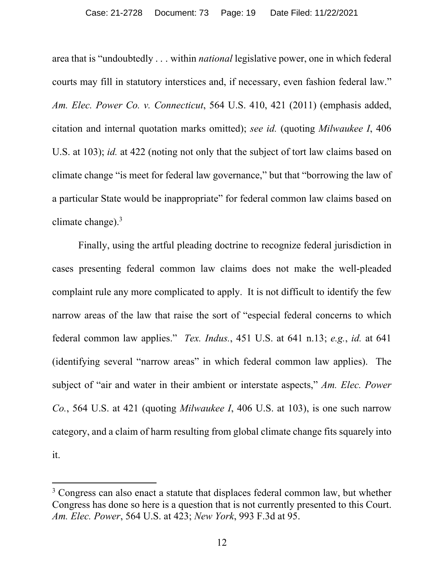area that is "undoubtedly . . . within *national* legislative power, one in which federal courts may fill in statutory interstices and, if necessary, even fashion federal law." *Am. Elec. Power Co. v. Connecticut*, 564 U.S. 410, 421 (2011) (emphasis added, citation and internal quotation marks omitted); *see id.* (quoting *Milwaukee I*, 406 U.S. at 103); *id.* at 422 (noting not only that the subject of tort law claims based on climate change "is meet for federal law governance," but that "borrowing the law of a particular State would be inappropriate" for federal common law claims based on climate change).<sup>3</sup>

Finally, using the artful pleading doctrine to recognize federal jurisdiction in cases presenting federal common law claims does not make the well-pleaded complaint rule any more complicated to apply. It is not difficult to identify the few narrow areas of the law that raise the sort of "especial federal concerns to which federal common law applies." *Tex. Indus.*, 451 U.S. at 641 n.13; *e.g.*, *id.* at 641 (identifying several "narrow areas" in which federal common law applies). The subject of "air and water in their ambient or interstate aspects," *Am. Elec. Power Co.*, 564 U.S. at 421 (quoting *Milwaukee I*, 406 U.S. at 103), is one such narrow category, and a claim of harm resulting from global climate change fits squarely into it.

<sup>&</sup>lt;sup>3</sup> Congress can also enact a statute that displaces federal common law, but whether Congress has done so here is a question that is not currently presented to this Court. *Am. Elec. Power*, 564 U.S. at 423; *New York*, 993 F.3d at 95.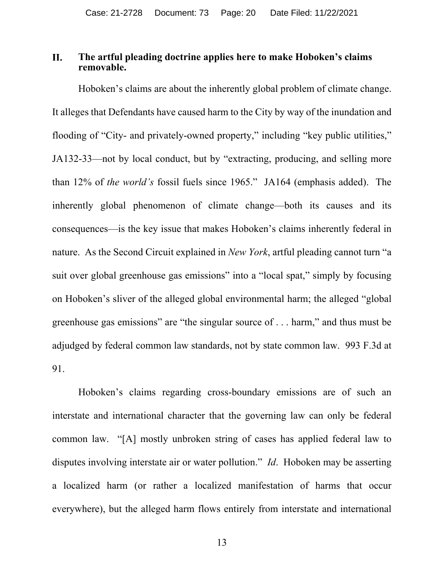#### II. **The artful pleading doctrine applies here to make Hoboken's claims removable.**

Hoboken's claims are about the inherently global problem of climate change. It alleges that Defendants have caused harm to the City by way of the inundation and flooding of "City- and privately-owned property," including "key public utilities," JA132-33—not by local conduct, but by "extracting, producing, and selling more than 12% of *the world's* fossil fuels since 1965." JA164 (emphasis added). The inherently global phenomenon of climate change—both its causes and its consequences—is the key issue that makes Hoboken's claims inherently federal in nature. As the Second Circuit explained in *New York*, artful pleading cannot turn "a suit over global greenhouse gas emissions" into a "local spat," simply by focusing on Hoboken's sliver of the alleged global environmental harm; the alleged "global greenhouse gas emissions" are "the singular source of . . . harm," and thus must be adjudged by federal common law standards, not by state common law. 993 F.3d at 91.

Hoboken's claims regarding cross-boundary emissions are of such an interstate and international character that the governing law can only be federal common law. "[A] mostly unbroken string of cases has applied federal law to disputes involving interstate air or water pollution." *Id*. Hoboken may be asserting a localized harm (or rather a localized manifestation of harms that occur everywhere), but the alleged harm flows entirely from interstate and international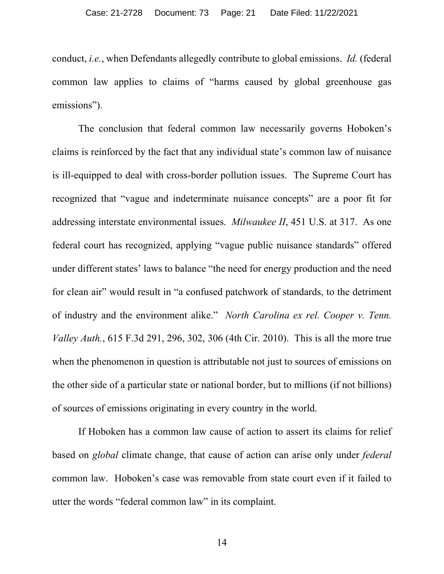conduct, *i.e.*, when Defendants allegedly contribute to global emissions. *Id.* (federal common law applies to claims of "harms caused by global greenhouse gas emissions").

The conclusion that federal common law necessarily governs Hoboken's claims is reinforced by the fact that any individual state's common law of nuisance is ill-equipped to deal with cross-border pollution issues. The Supreme Court has recognized that "vague and indeterminate nuisance concepts" are a poor fit for addressing interstate environmental issues. *Milwaukee II*, 451 U.S. at 317. As one federal court has recognized, applying "vague public nuisance standards" offered under different states' laws to balance "the need for energy production and the need for clean air" would result in "a confused patchwork of standards, to the detriment of industry and the environment alike." *North Carolina ex rel. Cooper v. Tenn. Valley Auth.*, 615 F.3d 291, 296, 302, 306 (4th Cir. 2010). This is all the more true when the phenomenon in question is attributable not just to sources of emissions on the other side of a particular state or national border, but to millions (if not billions) of sources of emissions originating in every country in the world.

If Hoboken has a common law cause of action to assert its claims for relief based on *global* climate change, that cause of action can arise only under *federal*  common law. Hoboken's case was removable from state court even if it failed to utter the words "federal common law" in its complaint.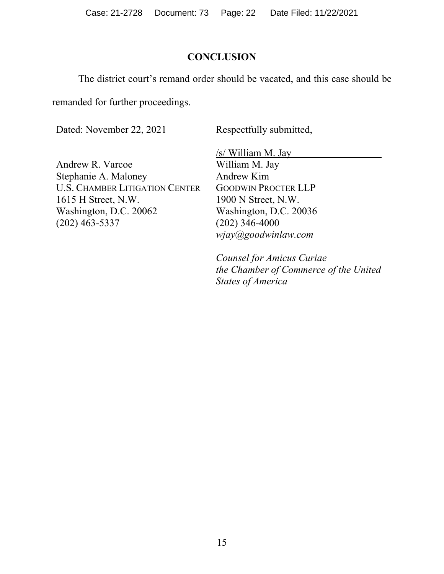Case: 21-2728 Document: 73 Page: 22 Date Filed: 11/22/2021

# **CONCLUSION**

The district court's remand order should be vacated, and this case should be

remanded for further proceedings.

Dated: November 22, 2021

Respectfully submitted,

Andrew R. Varcoe Stephanie A. Maloney U.S. CHAMBER LITIGATION CENTER 1615 H Street, N.W. Washington, D.C. 20062 (202) 463-5337

/s/ William M. Jay William M. Jay Andrew Kim GOODWIN PROCTER LLP 1900 N Street, N.W. Washington, D.C. 20036 (202) 346-4000 *wjay@goodwinlaw.com* 

*Counsel for Amicus Curiae the Chamber of Commerce of the United States of America*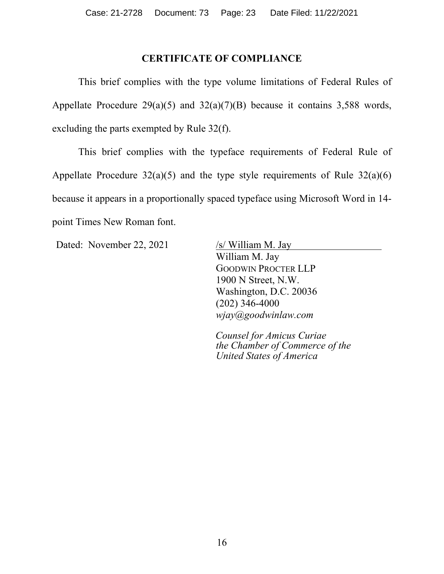# **CERTIFICATE OF COMPLIANCE**

This brief complies with the type volume limitations of Federal Rules of Appellate Procedure 29(a)(5) and  $32(a)(7)(B)$  because it contains 3,588 words, excluding the parts exempted by Rule 32(f).

This brief complies with the typeface requirements of Federal Rule of Appellate Procedure  $32(a)(5)$  and the type style requirements of Rule  $32(a)(6)$ because it appears in a proportionally spaced typeface using Microsoft Word in 14 point Times New Roman font.

Dated: November 22, 2021 /s/ William M. Jay

William M. Jay GOODWIN PROCTER LLP 1900 N Street, N.W. Washington, D.C. 20036 (202) 346-4000 *wjay@goodwinlaw.com* 

*Counsel for Amicus Curiae the Chamber of Commerce of the United States of America*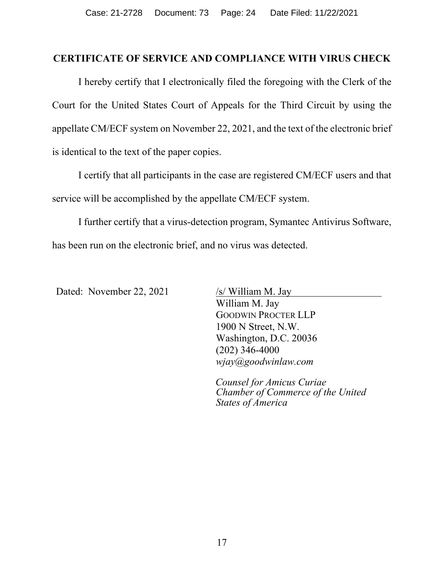# **CERTIFICATE OF SERVICE AND COMPLIANCE WITH VIRUS CHECK**

I hereby certify that I electronically filed the foregoing with the Clerk of the Court for the United States Court of Appeals for the Third Circuit by using the appellate CM/ECF system on November 22, 2021, and the text of the electronic brief is identical to the text of the paper copies.

I certify that all participants in the case are registered CM/ECF users and that service will be accomplished by the appellate CM/ECF system.

I further certify that a virus-detection program, Symantec Antivirus Software, has been run on the electronic brief, and no virus was detected.

Dated: November 22, 2021 /s/ William M. Jay

William M. Jay GOODWIN PROCTER LLP 1900 N Street, N.W. Washington, D.C. 20036 (202) 346-4000 *wjay@goodwinlaw.com* 

*Counsel for Amicus Curiae Chamber of Commerce of the United States of America*